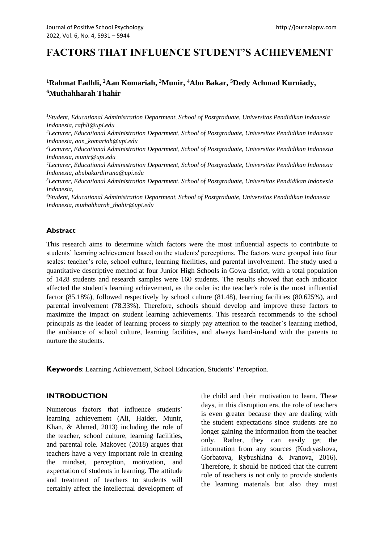# **FACTORS THAT INFLUENCE STUDENT'S ACHIEVEMENT**

# <sup>1</sup> Rahmat Fadhli, <sup>2</sup> Aan Komariah, <sup>3</sup> Munir, <sup>4</sup> Abu Bakar, <sup>5</sup> Dedy Achmad Kurniady, **<sup>6</sup>Muthahharah Thahir**

*<sup>1</sup>Student, Educational Administration Department, School of Postgraduate, Universitas Pendidikan Indonesia Indonesia, rafhli@upi.edu*

*<sup>2</sup>Lecturer, Educational Administration Department, School of Postgraduate, Universitas Pendidikan Indonesia Indonesia, aan\_komariah@upi.edu*

*<sup>3</sup>Lecturer, Educational Administration Department, School of Postgraduate, Universitas Pendidikan Indonesia Indonesia, munir@upi.edu*

*<sup>4</sup>Lecturer, Educational Administration Department, School of Postgraduate, Universitas Pendidikan Indonesia Indonesia, abubakarditruna@upi.edu*

*<sup>5</sup>Lecturer, Educational Administration Department, School of Postgraduate, Universitas Pendidikan Indonesia Indonesia,*

*<sup>6</sup>Student, Educational Administration Department, School of Postgraduate, Universitas Pendidikan Indonesia Indonesia, muthahharah\_thahir@upi.edu*

### **Abstract**

This research aims to determine which factors were the most influential aspects to contribute to students' learning achievement based on the students' perceptions. The factors were grouped into four scales: teacher's role, school culture, learning facilities, and parental involvement. The study used a quantitative descriptive method at four Junior High Schools in Gowa district, with a total population of 1428 students and research samples were 160 students. The results showed that each indicator affected the student's learning achievement, as the order is: the teacher's role is the most influential factor (85.18%), followed respectively by school culture (81.48), learning facilities (80.625%), and parental involvement (78.33%). Therefore, schools should develop and improve these factors to maximize the impact on student learning achievements. This research recommends to the school principals as the leader of learning process to simply pay attention to the teacher's learning method, the ambiance of school culture, learning facilities, and always hand-in-hand with the parents to nurture the students.

**Keywords**: Learning Achievement, School Education, Students' Perception.

### **INTRODUCTION**

Numerous factors that influence students' learning achievement (Ali, Haider, Munir, Khan, & Ahmed, 2013) including the role of the teacher, school culture, learning facilities, and parental role. Makovec (2018) argues that teachers have a very important role in creating the mindset, perception, motivation, and expectation of students in learning. The attitude and treatment of teachers to students will certainly affect the intellectual development of the child and their motivation to learn. These days, in this disruption era, the role of teachers is even greater because they are dealing with the student expectations since students are no longer gaining the information from the teacher only. Rather, they can easily get the information from any sources (Kudryashova, Gorbatova, Rybushkina & Ivanova, 2016). Therefore, it should be noticed that the current role of teachers is not only to provide students the learning materials but also they must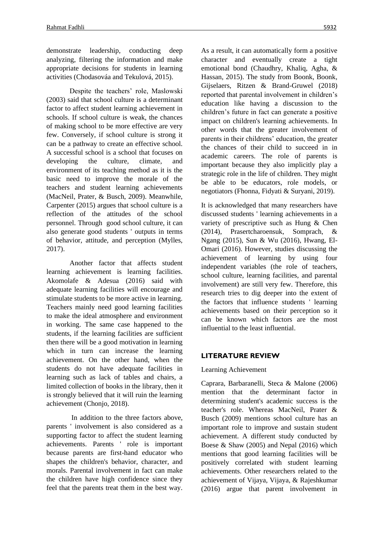demonstrate leadership, conducting deep analyzing, filtering the information and make appropriate decisions for students in learning activities (Chodasováa and Tekulová, 2015).

Despite the teachers' role, Maslowski (2003) said that school culture is a determinant factor to affect student learning achievement in schools. If school culture is weak, the chances of making school to be more effective are very few. Conversely, if school culture is strong it can be a pathway to create an effective school. A successful school is a school that focuses on developing the culture, climate, and environment of its teaching method as it is the basic need to improve the morale of the teachers and student learning achievements (MacNeil, Prater, & Busch, 2009). Meanwhile, Carpenter (2015) argues that school culture is a reflection of the attitudes of the school personnel. Through good school culture, it can also generate good students ' outputs in terms of behavior, attitude, and perception (Mylles, 2017).

Another factor that affects student learning achievement is learning facilities. Akomolafe & Adesua (2016) said with adequate learning facilities will encourage and stimulate students to be more active in learning. Teachers mainly need good learning facilities to make the ideal atmosphere and environment in working. The same case happened to the students, if the learning facilities are sufficient then there will be a good motivation in learning which in turn can increase the learning achievement. On the other hand, when the students do not have adequate facilities in learning such as lack of tables and chairs, a limited collection of books in the library, then it is strongly believed that it will ruin the learning achievement (Chonjo, 2018).

In addition to the three factors above, parents ' involvement is also considered as a supporting factor to affect the student learning achievements. Parents ' role is important because parents are first-hand educator who shapes the children's behavior, character, and morals. Parental involvement in fact can make the children have high confidence since they feel that the parents treat them in the best way. As a result, it can automatically form a positive character and eventually create a tight emotional bond (Chaudhry, Khaliq, Agha, & Hassan, 2015). The study from Boonk, Boonk, Gijselaers, Ritzen & Brand-Gruwel (2018) reported that parental involvement in children's education like having a discussion to the children's future in fact can generate a positive impact on children's learning achievements. In other words that the greater involvement of parents in their childrens' education, the greater the chances of their child to succeed in in academic careers. The role of parents is important because they also implicitly play a strategic role in the life of children. They might be able to be educators, role models, or negotiators (Fhonna, Fidyati & Suryani, 2019).

It is acknowledged that many researchers have discussed students ' learning achievements in a variety of prescriptive such as Hung & Chen (2014), Prasertcharoensuk, Somprach, & Ngang (2015), Sun & Wu (2016), Hwang, El-Omari (2016). However, studies discussing the achievement of learning by using four independent variables (the role of teachers, school culture, learning facilities, and parental involvement) are still very few. Therefore, this research tries to dig deeper into the extent of the factors that influence students ' learning achievements based on their perception so it can be known which factors are the most influential to the least influential.

### **LITERATURE REVIEW**

### Learning Achievement

Caprara, Barbaranelli, Steca & Malone (2006) mention that the determinant factor in determining student's academic success is the teacher's role. Whereas MacNeil, Prater & Busch (2009) mentions school culture has an important role to improve and sustain student achievement. A different study conducted by Boese & Shaw (2005) and Nepal (2016) which mentions that good learning facilities will be positively correlated with student learning achievements. Other researchers related to the achievement of Vijaya, Vijaya, & Rajeshkumar (2016) argue that parent involvement in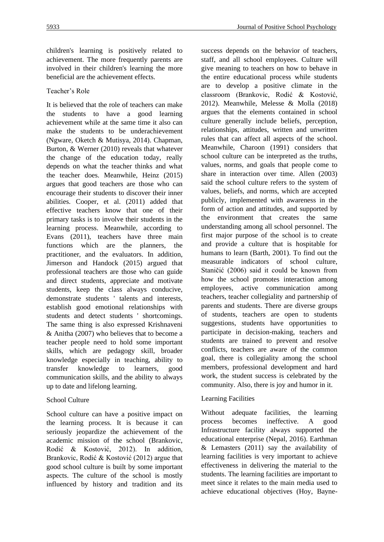children's learning is positively related to achievement. The more frequently parents are involved in their children's learning the more beneficial are the achievement effects.

### Teacher's Role

It is believed that the role of teachers can make the students to have a good learning achievement while at the same time it also can make the students to be underachievement (Ngware, Oketch & Mutisya, 2014). Chapman, Burton, & Werner (2010) reveals that whatever the change of the education today, really depends on what the teacher thinks and what the teacher does. Meanwhile, Heinz (2015) argues that good teachers are those who can encourage their students to discover their inner abilities. Cooper, et al. (2011) added that effective teachers know that one of their primary tasks is to involve their students in the learning process. Meanwhile, according to Evans (2011), teachers have three main functions which are the planners, the practitioner, and the evaluators. In addition, Jimerson and Handock (2015) argued that professional teachers are those who can guide and direct students, appreciate and motivate students, keep the class always conducive, demonstrate students ' talents and interests, establish good emotional relationships with students and detect students ' shortcomings. The same thing is also expressed Krishnaveni & Anitha (2007) who believes that to become a teacher people need to hold some important skills, which are pedagogy skill, broader knowledge especially in teaching, ability to transfer knowledge to learners, good communication skills, and the ability to always up to date and lifelong learning.

# School Culture

School culture can have a positive impact on the learning process. It is because it can seriously jeopardize the achievement of the academic mission of the school (Brankovic, Rodić & Kostović, 2012). In addition, Brankovic, Rodić & Kostović (2012) argue that good school culture is built by some important aspects. The culture of the school is mostly influenced by history and tradition and its success depends on the behavior of teachers, staff, and all school employees. Culture will give meaning to teachers on how to behave in the entire educational process while students are to develop a positive climate in the classroom (Brankovic, Rodić & Kostović, 2012). Meanwhile, Melesse & Molla (2018) argues that the elements contained in school culture generally include beliefs, perception, relationships, attitudes, written and unwritten rules that can affect all aspects of the school. Meanwhile, Charoon (1991) considers that school culture can be interpreted as the truths, values, norms, and goals that people come to share in interaction over time. Allen (2003) said the school culture refers to the system of values, beliefs, and norms, which are accepted publicly, implemented with awareness in the form of action and attitudes, and supported by the environment that creates the same understanding among all school personnel. The first major purpose of the school is to create and provide a culture that is hospitable for humans to learn (Barth, 2001). To find out the measurable indicators of school culture, Staničić (2006) said it could be known from how the school promotes interaction among employees, active communication among teachers, teacher collegiality and partnership of parents and students. There are diverse groups of students, teachers are open to students suggestions, students have opportunities to participate in decision-making, teachers and students are trained to prevent and resolve conflicts, teachers are aware of the common goal, there is collegiality among the school members, professional development and hard work, the student success is celebrated by the community. Also, there is joy and humor in it.

# Learning Facilities

Without adequate facilities, the learning process becomes ineffective. A good Infrastructure facility always supported the educational enterprise (Nepal, 2016). Earthman & Lemasters  $(2011)$  say the availability of learning facilities is very important to achieve effectiveness in delivering the material to the students. The learning facilities are important to meet since it relates to the main media used to achieve educational objectives (Hoy, Bayne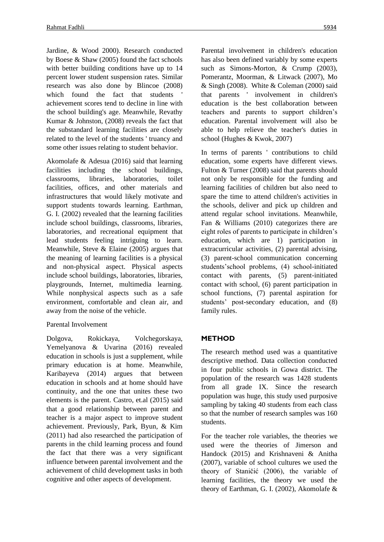Jardine, & Wood 2000). Research conducted by Boese & Shaw (2005) found the fact schools with better building conditions have up to 14 percent lower student suspension rates. Similar research was also done by Blincoe (2008) which found the fact that students achievement scores tend to decline in line with the school building's age. Meanwhile, Revathy Kumar & Johnston, (2008) reveals the fact that the substandard learning facilities are closely related to the level of the students ' truancy and some other issues relating to student behavior.

Akomolafe & Adesua (2016) said that learning facilities including the school buildings, classrooms, libraries, laboratories, toilet facilities, offices, and other materials and infrastructures that would likely motivate and support students towards learning. Earthman, G. I. (2002) revealed that the learning facilities include school buildings, classrooms, libraries, laboratories, and recreational equipment that lead students feeling intriguing to learn. Meanwhile, Steve & Elaine (2005) argues that the meaning of learning facilities is a physical and non-physical aspect. Physical aspects include school buildings, laboratories, libraries, playgrounds, Internet, multimedia learning. While nonphysical aspects such as a safe environment, comfortable and clean air, and away from the noise of the vehicle.

### Parental Involvement

Dolgova, Rokickaya, Volchegorskaya, Yemelyanova & Uvarina (2016) revealed education in schools is just a supplement, while primary education is at home. Meanwhile, Karibayeva (2014) argues that between education in schools and at home should have continuity, and the one that unites these two elements is the parent. Castro, et.al (2015) said that a good relationship between parent and teacher is a major aspect to improve student achievement. Previously, Park, Byun, & Kim (2011) had also researched the participation of parents in the child learning process and found the fact that there was a very significant influence between parental involvement and the achievement of child development tasks in both cognitive and other aspects of development.

Parental involvement in children's education has also been defined variably by some experts such as Simons-Morton, & Crump (2003), Pomerantz, Moorman, & Litwack (2007), Mo & Singh (2008). White & Coleman (2000) said that parents ' involvement in children's education is the best collaboration between teachers and parents to support children's education. Parental involvement will also be able to help relieve the teacher's duties in school (Hughes & Kwok, 2007)

In terms of parents ' contributions to child education, some experts have different views. Fulton & Turner (2008) said that parents should not only be responsible for the funding and learning facilities of children but also need to spare the time to attend children's activities in the schools, deliver and pick up children and attend regular school invitations. Meanwhile, Fan & Williams (2010) categorizes there are eight roles of parents to participate in children's education, which are 1) participation in extracurricular activities, (2) parental advising, (3) parent-school communication concerning students'school problems, (4) school-initiated contact with parents, (5) parent-initiated contact with school, (6) parent participation in school functions, (7) parental aspiration for students' post-secondary education, and (8) family rules.

### **METHOD**

The research method used was a quantitative descriptive method. Data collection conducted in four public schools in Gowa district. The population of the research was 1428 students from all grade IX. Since the research population was huge, this study used purposive sampling by taking 40 students from each class so that the number of research samples was 160 students.

For the teacher role variables, the theories we used were the theories of Jimerson and Handock (2015) and Krishnaveni & Anitha (2007), variable of school cultures we used the theory of Staničić (2006), the variable of learning facilities, the theory we used the theory of Earthman, G. I. (2002), Akomolafe &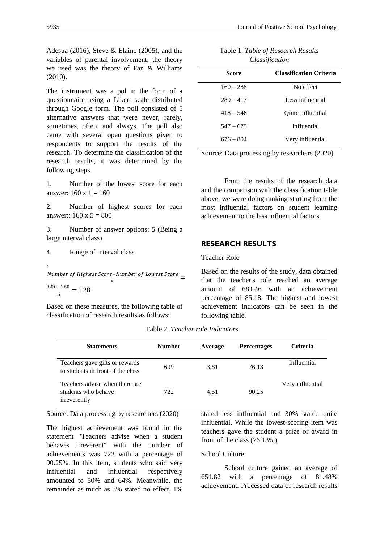Adesua (2016), Steve & Elaine (2005), and the variables of parental involvement, the theory we used was the theory of Fan & Williams  $(2010)$ .

The instrument was a pol in the form of a questionnaire using a Likert scale distributed through Google form. The poll consisted of 5 alternative answers that were never, rarely, sometimes, often, and always. The poll also came with several open questions given to respondents to support the results of the research. To determine the classification of the research results, it was determined by the following steps.

1. Number of the lowest score for each answer:  $160 \times 1 = 160$ 

2. Number of highest scores for each answer::  $160 \times 5 = 800$ 

3. Number of answer options: 5 (Being a large interval class)

4. Range of interval class

:  
\n
$$
\frac{Number\ of\ Higher\ Score - Number\ of\ lowest\ Score}{5} =
$$
\n
$$
\frac{800-160}{5} = 128
$$

Based on these measures, the following table of classification of research results as follows:

| Table 1. Table of Research Results |
|------------------------------------|
| Classification                     |

| Score       | <b>Classification Criteria</b> |  |  |
|-------------|--------------------------------|--|--|
| $160 - 288$ | No effect                      |  |  |
| $289 - 417$ | Less influential               |  |  |
| $418 - 546$ | Quite influential              |  |  |
| $547 - 675$ | Influential                    |  |  |
| $676 - 804$ | Very influential               |  |  |

Source: Data processing by researchers (2020)

From the results of the research data and the comparison with the classification table above, we were doing ranking starting from the most influential factors on student learning achievement to the less influential factors.

### **RESEARCH RESULTS**

#### Teacher Role

Based on the results of the study, data obtained that the teacher's role reached an average amount of 681.46 with an achievement percentage of 85.18. The highest and lowest achievement indicators can be seen in the following table.

| <b>Statements</b>                                                     | <b>Number</b> | Average | <b>Percentages</b> | <b>Criteria</b>  |
|-----------------------------------------------------------------------|---------------|---------|--------------------|------------------|
| Teachers gave gifts or rewards<br>to students in front of the class   | 609           | 3.81    | 76.13              | Influential      |
| Teachers advise when there are<br>students who behave<br>irreverently | 722           | 4.51    | 90.25              | Very influential |

Table 2. *Teacher role Indicators*

Source: Data processing by researchers (2020)

The highest achievement was found in the statement "Teachers advise when a student behaves irreverent" with the number of achievements was 722 with a percentage of 90.25%. In this item, students who said very influential and influential respectively amounted to 50% and 64%. Meanwhile, the remainder as much as 3% stated no effect, 1%

stated less influential and 30% stated quite influential. While the lowest-scoring item was teachers gave the student a prize or award in front of the class (76.13%)

### School Culture

School culture gained an average of 651.82 with a percentage of 81.48% achievement. Processed data of research results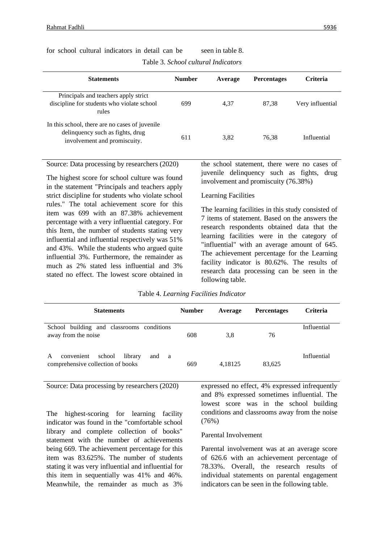| <b>Statements</b>                                                                                                  | <b>Number</b> | Average | <b>Percentages</b> | Criteria         |
|--------------------------------------------------------------------------------------------------------------------|---------------|---------|--------------------|------------------|
| Principals and teachers apply strict<br>discipline for students who violate school<br>rules                        | 699           | 4.37    | 87.38              | Very influential |
| In this school, there are no cases of juvenile<br>delinquency such as fights, drug<br>involvement and promiscuity. | 611           | 3.82    | 76.38              | Influential      |

for school cultural indicators in detail can be seen in table 8.

Table 3. *School cultural Indicators*

Source: Data processing by researchers (2020)

The highest score for school culture was found in the statement "Principals and teachers apply strict discipline for students who violate school rules." The total achievement score for this item was 699 with an 87.38% achievement percentage with a very influential category. For this Item, the number of students stating very influential and influential respectively was 51% and 43%. While the students who argued quite influential 3%. Furthermore, the remainder as much as 2% stated less influential and 3% stated no effect. The lowest score obtained in the school statement, there were no cases of juvenile delinquency such as fights, drug involvement and promiscuity (76.38%)

### Learning Facilities

The learning facilities in this study consisted of 7 items of statement. Based on the answers the research respondents obtained data that the learning facilities were in the category of "influential" with an average amount of 645. The achievement percentage for the Learning facility indicator is 80.62%. The results of research data processing can be seen in the following table.

| Table 4. Learning Facilities Indicator |  |
|----------------------------------------|--|
|                                        |  |

| <b>Statements</b>                                                                       | <b>Number</b> | Average | <b>Percentages</b> | <b>Criteria</b> |
|-----------------------------------------------------------------------------------------|---------------|---------|--------------------|-----------------|
| School building and classrooms conditions<br>away from the noise                        | 608           | 3,8     | 76                 | Influential     |
| school<br>library<br>A<br>and<br>convenient<br>- a<br>comprehensive collection of books | 669           | 4.18125 | 83,625             | Influential     |

Source: Data processing by researchers (2020)

The highest-scoring for learning facility indicator was found in the "comfortable school library and complete collection of books" statement with the number of achievements being 669. The achievement percentage for this item was 83.625%. The number of students stating it was very influential and influential for this item in sequentially was 41% and 46%. Meanwhile, the remainder as much as 3%

expressed no effect, 4% expressed infrequently and 8% expressed sometimes influential. The lowest score was in the school building conditions and classrooms away from the noise  $(76%)$ 

### Parental Involvement

Parental involvement was at an average score of 626.6 with an achievement percentage of 78.33%. Overall, the research results of individual statements on parental engagement indicators can be seen in the following table.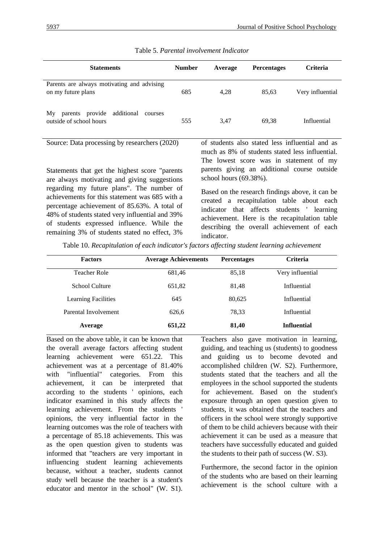| <b>Statements</b>                                                            | <b>Number</b> | Average | <b>Percentages</b> | <b>Criteria</b>                                 |
|------------------------------------------------------------------------------|---------------|---------|--------------------|-------------------------------------------------|
| Parents are always motivating and advising<br>on my future plans             | 685           | 4,28    | 85,63              | Very influential                                |
| provide<br>additional<br>My<br>parents<br>courses<br>outside of school hours | 555           | 3.47    | 69.38              | Influential                                     |
| Source: Data processing by researchers (2020)                                |               |         |                    | of students also stated less influential and as |

### Table 5. *Parental involvement Indicator*

Statements that get the highest score "parents are always motivating and giving suggestions regarding my future plans". The number of achievements for this statement was 685 with a percentage achievement of 85.63%. A total of 48% of students stated very influential and 39% of students expressed influence. While the remaining 3% of students stated no effect, 3%

of students also stated less influential and as much as 8% of students stated less influential. The lowest score was in statement of my parents giving an additional course outside school hours (69.38%).

Based on the research findings above, it can be created a recapitulation table about each indicator that affects students ' learning achievement. Here is the recapitulation table describing the overall achievement of each indicator.

Table 10. *Recapitulation of each indicator's factors affecting student learning achievement*

| <b>Factors</b>             | <b>Average Achievements</b> | <b>Percentages</b> | <b>Criteria</b>    |
|----------------------------|-----------------------------|--------------------|--------------------|
| <b>Teacher Role</b>        | 681,46                      | 85,18              | Very influential   |
| School Culture             | 651,82                      | 81.48              | Influential        |
| <b>Learning Facilities</b> | 645                         | 80.625             | Influential        |
| Parental Involvement       | 626,6                       | 78.33              | Influential        |
| Average                    | 651,22                      | 81,40              | <b>Influential</b> |

Based on the above table, it can be known that the overall average factors affecting student learning achievement were 651.22. This achievement was at a percentage of 81.40% with "influential" categories. From this achievement, it can be interpreted that according to the students ' opinions, each indicator examined in this study affects the learning achievement. From the students ' opinions, the very influential factor in the learning outcomes was the role of teachers with a percentage of 85.18 achievements. This was as the open question given to students was informed that "teachers are very important in influencing student learning achievements because, without a teacher, students cannot study well because the teacher is a student's educator and mentor in the school" (W. S1).

Teachers also gave motivation in learning, guiding, and teaching us (students) to goodness and guiding us to become devoted and accomplished children (W. S2). Furthermore, students stated that the teachers and all the employees in the school supported the students for achievement. Based on the student's exposure through an open question given to students, it was obtained that the teachers and officers in the school were strongly supportive of them to be child achievers because with their achievement it can be used as a measure that teachers have successfully educated and guided the students to their path of success (W. S3).

Furthermore, the second factor in the opinion of the students who are based on their learning achievement is the school culture with a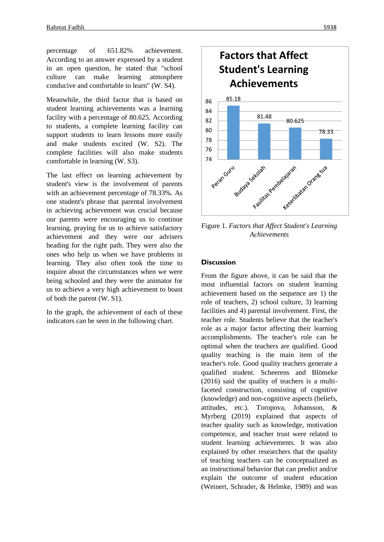percentage of 651.82% achievement. According to an answer expressed by a student in an open question, he stated that "school culture can make learning atmosphere conducive and comfortable to learn" (W. S4).

Meanwhile, the third factor that is based on student learning achievements was a learning facility with a percentage of 80.625. According to students, a complete learning facility can support students to learn lessons more easily and make students excited (W. S2). The complete facilities will also make students comfortable in learning (W. S3).

The last effect on learning achievement by student's view is the involvement of parents with an achievement percentage of 78.33%. As one student's phrase that parental involvement in achieving achievement was crucial because our parents were encouraging us to continue learning, praying for us to achieve satisfactory achievement and they were our advisers heading for the right path. They were also the ones who help us when we have problems in learning. They also often took the time to inquire about the circumstances when we were being schooled and they were the animator for us to achieve a very high achievement to boast of both the parent (W. S1).

In the graph, the achievement of each of these indicators can be seen in the following chart.



Figure 1. *Factors that Affect Student's Learning Achievements*

#### **Discussion**

From the figure above, it can be said that the most influential factors on student learning achievement based on the sequence are 1) the role of teachers, 2) school culture, 3) learning facilities and 4) parental involvement. First, the teacher role. Students believe that the teacher's role as a major factor affecting their learning accomplishments. The teacher's role can be optimal when the teachers are qualified. Good quality teaching is the main item of the teacher's role. Good quality teachers generate a qualified student. Scheerens and Blömeke (2016) said the quality of teachers is a multifaceted construction, consisting of cognitive (knowledge) and non-cognitive aspects (beliefs, attitudes, etc.). Toropova, Johansson, & Myrberg (2019) explained that aspects of teacher quality such as knowledge, motivation competence, and teacher trust were related to student learning achievements. It was also explained by other researchers that the quality of teaching teachers can be conceptualized as an instructional behavior that can predict and/or explain the outcome of student education (Weinert, Schrader, & Helmke, 1989) and was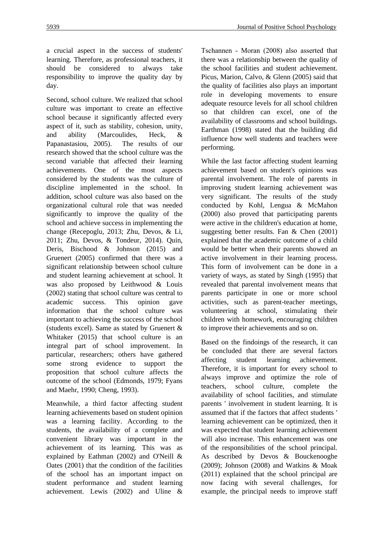a crucial aspect in the success of students' learning. Therefore, as professional teachers, it should be considered to always take responsibility to improve the quality day by day.

Second, school culture. We realized that school culture was important to create an effective school because it significantly affected every aspect of it, such as stability, cohesion, unity, and ability (Marcoulides, Heck, & Papanastasiou, 2005). The results of our research showed that the school culture was the second variable that affected their learning achievements. One of the most aspects considered by the students was the culture of discipline implemented in the school. In addition, school culture was also based on the organizational cultural role that was needed significantly to improve the quality of the school and achieve success in implementing the change (Recepoglu, 2013; Zhu, Devos, & Li, 2011; Zhu, Devos, & Tondeur, 2014). Quin, Deris, Bischood & Johnson (2015) and Gruenert (2005) confirmed that there was a significant relationship between school culture and student learning achievement at school. It was also proposed by Leithwood & Louis (2002) stating that school culture was central to academic success. This opinion gave information that the school culture was important to achieving the success of the school (students excel). Same as stated by Gruenert & Whitaker (2015) that school culture is an integral part of school improvement. In particular, researchers; others have gathered some strong evidence to support the proposition that school culture affects the outcome of the school (Edmonds, 1979; Fyans and Maehr, 1990; Cheng, 1993).

Meanwhile, a third factor affecting student learning achievements based on student opinion was a learning facility. According to the students, the availability of a complete and convenient library was important in the achievement of its learning. This was as explained by Eathman (2002) and O'Neill & Oates (2001) that the condition of the facilities of the school has an important impact on student performance and student learning achievement. Lewis (2002) and Uline & Tschannen ‐ Moran (2008) also asserted that there was a relationship between the quality of the school facilities and student achievement. Picus, Marion, Calvo, & Glenn (2005) said that the quality of facilities also plays an important role in developing movements to ensure adequate resource levels for all school children so that children can excel, one of the availability of classrooms and school buildings. Earthman (1998) stated that the building did influence how well students and teachers were performing.

While the last factor affecting student learning achievement based on student's opinions was parental involvement. The role of parents in improving student learning achievement was very significant. The results of the study conducted by Kohl, Lengua & McMahon (2000) also proved that participating parents were active in the children's education at home, suggesting better results. Fan & Chen (2001) explained that the academic outcome of a child would be better when their parents showed an active involvement in their learning process. This form of involvement can be done in a variety of ways, as stated by Singh (1995) that revealed that parental involvement means that parents participate in one or more school activities, such as parent-teacher meetings, volunteering at school, stimulating their children with homework, encouraging children to improve their achievements and so on.

Based on the findoings of the research, it can be concluded that there are several factors affecting student learning achievement. Therefore, it is important for every school to always improve and optimize the role of teachers, school culture, complete the availability of school facilities, and stimulate parents ' involvement in student learning. It is assumed that if the factors that affect students ' learning achievement can be optimized, then it was expected that student learning achievement will also increase. This enhancement was one of the responsibilities of the school principal. As described by Devos & Bouckenooghe (2009); Johnson (2008) and Watkins & Moak (2011) explained that the school principal are now facing with several challenges, for example, the principal needs to improve staff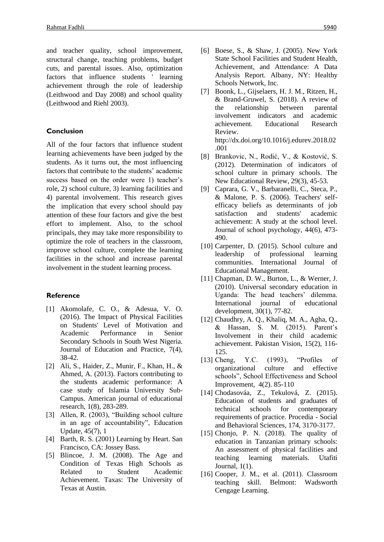and teacher quality, school improvement, structural change, teaching problems, budget cuts, and parental issues. Also, optimization factors that influence students ' learning achievement through the role of leadership (Leithwood and Day 2008) and school quality (Leithwood and Riehl 2003).

### **Conclusion**

All of the four factors that influence student learning achievements have been judged by the students. As it turns out, the most influencing factors that contribute to the students' academic success based on the order were 1) teacher's role, 2) school culture, 3) learning facilities and 4) parental involvement. This research gives the implication that every school should pay attention of these four factors and give the best effort to implement. Also, to the school principals, they may take more responsibility to optimize the role of teachers in the classroom, improve school culture, complete the learning facilities in the school and increase parental involvement in the student learning process.

#### **Reference**

- [1] Akomolafe, C. O., & Adesua, V. O. (2016). The Impact of Physical Facilities on Students' Level of Motivation and Academic Performance in Senior Secondary Schools in South West Nigeria. Journal of Education and Practice, 7(4), 38-42.
- [2] Ali, S., Haider, Z., Munir, F., Khan, H., & Ahmed, A. (2013). Factors contributing to the students academic performance: A case study of Islamia University Sub-Campus. American journal of educational research, 1(8), 283-289.
- [3] Allen, R. (2003), "Building school culture in an age of accountability", Education Update, 45(7), 1
- [4] Barth, R. S. (2001) Learning by Heart. San Francisco, CA: Jossey Bass.
- [5] Blincoe, J. M. (2008). The Age and Condition of Texas High Schools as Related to Student Academic Achievement. Taxas: The University of Texas at Austin.
- [6] Boese, S., & Shaw, J. (2005). New York State School Facilities and Student Health, Achievement, and Attendance: A Data Analysis Report. Albany, NY: Healthy Schools Network, Inc.
- [7] Boonk, L., Gijselaers, H. J. M., Ritzen, H., & Brand-Gruwel, S. (2018). A review of the relationship between parental involvement indicators and academic achievement. Educational Research Review. http://dx.doi.org/10.1016/j.edurev.2018.02 .001
- [8] Brankovic, N., Rodić, V., & Kostović, S. (2012). Determination of indicators of school culture in primary schools. The New Educational Review, 29(3), 45-53.
- [9] Caprara, G. V., Barbaranelli, C., Steca, P., & Malone, P. S. (2006). Teachers' selfefficacy beliefs as determinants of job satisfaction and students' academic achievement: A study at the school level. Journal of school psychology, 44(6), 473- 490.
- [10] Carpenter, D. (2015). School culture and leadership of professional learning communities. International Journal of Educational Management.
- [11] Chapman, D. W., Burton, L., & Werner, J. (2010). Universal secondary education in Uganda: The head teachers' dilemma. International journal of educational development, 30(1), 77-82.
- [12] Chaudhry, A. Q., Khaliq, M. A., Agha, Q., & Hassan, S. M. (2015). Parent's Involvement in their child academic achievement. Pakistan Vision, 15(2), 116- 125.
- [13] Cheng, Y.C. (1993), "Profiles of organizational culture and effective schools", School Effectiveness and School Improvement, 4(2). 85-110
- [14] Chodasováa, Z., Tekulová, Z. (2015). Education of students and graduates of technical schools for contemporary requirements of practice. Procedia - Social and Behavioral Sciences, 174, 3170-3177.
- [15] Chonjo, P. N. (2018). The quality of education in Tanzanian primary schools: An assessment of physical facilities and teaching learning materials. Utafiti Journal, 1(1).
- [16] Cooper, J. M., et al. (2011). Classroom teaching skill. Belmont: Wadsworth Cengage Learning.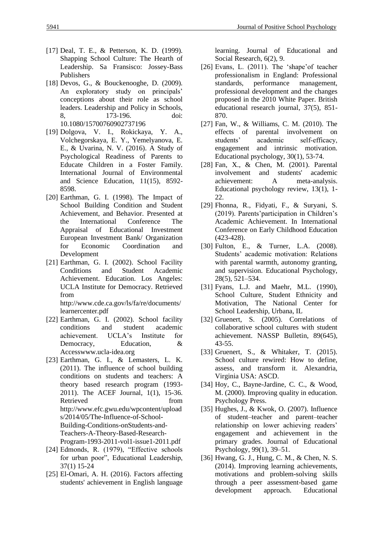- [17] Deal, T. E., & Petterson, K. D. (1999). Shapping School Culture: The Hearth of Leadership. Sa Fransisco: Jossey-Bass Publishers
- [18] Devos, G., & Bouckenooghe, D. (2009). An exploratory study on principals' conceptions about their role as school leaders. Leadership and Policy in Schools, 8, 173-196. doi: 10.1080/15700760902737196
- [19] Dolgova, V. I., Rokickaya, Y. A., Volchegorskaya, E. Y., Yemelyanova, E. E., & Uvarina, N. V. (2016). A Study of Psychological Readiness of Parents to Educate Children in a Foster Family. International Journal of Environmental and Science Education, 11(15), 8592- 8598.
- [20] Earthman, G. I. (1998). The Impact of School Building Condition and Student Achievement, and Behavior. Presented at the International Conference The Appraisal of Educational Investment European Investment Bank/ Organization for Economic Coordination and Development
- [21] Earthman, G. I. (2002). School Facility Conditions and Student Academic Achievement. Education. Los Angeles: UCLA Institute for Democracy. Retrieved from

http://www.cde.ca.gov/ls/fa/re/documents/ learnercenter.pdf

- [22] Earthman, G. I. (2002). School facility conditions and student academic achievement. UCLA's Institute for Democracy, Education, & Accesswww.ucla-idea.org
- [23] Earthman, G. I., & Lemasters, L. K. (2011). The influence of school building conditions on students and teachers: A theory based research program (1993- 2011). The ACEF Journal, 1(1), 15-36. Retrieved from http://www.efc.gwu.edu/wpcontent/upload s/2014/05/The-Influence-of-School-Building-Conditions-onStudents-and-Teachers-A-Theory-Based-Research-Program-1993-2011-vol1-issue1-2011.pdf
- [24] Edmonds, R. (1979), "Effective schools for urban poor", Educational Leadership, 37(1) 15-24
- [25] El-Omari, A. H. (2016). Factors affecting students' achievement in English language

learning. Journal of Educational and Social Research, 6(2), 9.

- [26] Evans, L. (2011). The 'shape' of teacher professionalism in England: Professional standards, performance management, professional development and the changes proposed in the 2010 White Paper. British educational research journal, 37(5), 851- 870.
- [27] Fan, W., & Williams, C. M. (2010). The effects of parental involvement on students' academic self-efficacy, engagement and intrinsic motivation. Educational psychology, 30(1), 53-74.
- [28] Fan, X., & Chen, M. (2001). Parental involvement and students' academic achievement: A meta-analysis. Educational psychology review, 13(1), 1- 22.
- [29] Fhonna, R., Fidyati, F., & Suryani, S. (2019). Parents'participation in Children's Academic Achievement. In International Conference on Early Childhood Education (423-428).
- [30] Fulton, E., & Turner, L.A. (2008). Students' academic motivation: Relations with parental warmth, autonomy granting, and supervision. Educational Psychology, 28(5), 521–534.
- [31] Fyans, L.J. and Maehr, M.L. (1990), School Culture, Student Ethnicity and Motivation, The National Center for School Leadership, Urbana, IL
- [32] Gruenert, S. (2005). Correlations of collaborative school cultures with student achievement. NASSP Bulletin, 89(645), 43-55.
- [33] Gruenert, S., & Whitaker, T. (2015). School culture rewired: How to define, assess, and transform it. Alexandria, Virginia USA: ASCD.
- [34] Hoy, C., Bayne-Jardine, C. C., & Wood, M. (2000). Improving quality in education. Psychology Press.
- [35] Hughes, J., & Kwok, O. (2007). Influence of student–teacher and parent–teacher relationship on lower achieving readers' engagement and achievement in the primary grades. Journal of Educational Psychology, 99(1), 39–51.
- [36] Hwang, G. J., Hung, C. M., & Chen, N. S. (2014). Improving learning achievements, motivations and problem-solving skills through a peer assessment-based game development approach. Educational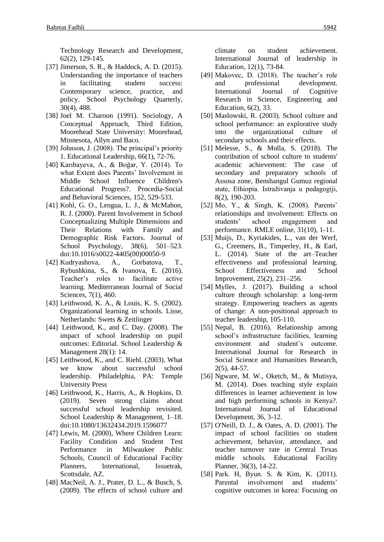Technology Research and Development, 62(2), 129-145.

- [37] Jimerson, S. R., & Haddock, A. D. (2015). Understanding the importance of teachers in facilitating student success: Contemporary science, practice, and policy. School Psychology Quarterly, 30(4), 488.
- [38] Joel M. Charoon (1991). Sociology, A Conceptual Approach, Third Edition, Moorehead State University: Moorehead, Minnesota, Allyn and Baco.
- [39] Johnson, J. (2008). The principal's priority 1. Educational Leadership, 66(1), 72-76.
- [40] Karıbayeva, A., & Boğar, Y. (2014). To what Extent does Parents' Involvement in Middle School Influence Children's Educational Progress?. Procedia-Social and Behavioral Sciences, 152, 529-533.
- [41] Kohl, G. O., Lengua, L. J., & McMahon, R. J. (2000). Parent Involvement in School Conceptualizing Multiple Dimensions and Their Relations with Family and Demographic Risk Factors. Journal of School Psychology, 38(6), 501–523. doi:10.1016/s0022-4405(00)00050-9
- [42] Kudryashova, A., Gorbatova, T., Rybushkina, S., & Ivanova, E. (2016). Teacher's roles to facilitate active learning. Mediterranean Journal of Social Sciences, 7(1), 460.
- [43] Leithwood, K. A., & Louis, K. S. (2002). Organizational learning in schools. Lisse, Netherlands: Swets & Zeitlinger
- [44] Leithwood, K., and C. Day. (2008). The impact of school leadership on pupil outcomes: Editorial. School Leadership & Management 28(1): 14.
- [45] Leithwood, K., and C. Riehl. (2003). What we know about successful school leadership. Philadelphia, PA: Temple University Press
- [46] Leithwood, K., Harris, A., & Hopkins, D. (2019). Seven strong claims about successful school leadership revisited. School Leadership & Management, 1–18. doi:10.1080/13632434.2019.1596077
- [47] Lewis, M. (2000), Where Children Learn: Facility Condition and Student Test Performance in Milwaukee Public Schools, Council of Educational Facility Planners, International, Issuetrak, Scottsdale, AZ.
- [48] MacNeil, A. J., Prater, D. L., & Busch, S. (2009). The effects of school culture and

climate on student achievement. International Journal of leadership in Education, 12(1), 73-84.

- [49] Makovec, D. (2018). The teacher's role and professional development. International Journal of Cognitive Research in Science, Engineering and Education, 6(2), 33.
- [50] Maslowski, R. (2003). School culture and school performance: an explorative study into the organizational culture of secondary schools and their effects.
- [51] Melesse, S., & Molla, S. (2018). The contribution of school culture to students' academic achievement: The case of secondary and preparatory schools of Assosa zone, Benshangul Gumuz regional state, Ethiopia. Istraživanja u pedagogiji, 8(2), 190-203.
- [52] Mo, Y., & Singh, K. (2008). Parents' relationships and involvement: Effects on students' school engagement and performance. RMLE online, 31(10), 1-11.
- [53] Muijs, D., Kyriakides, L., van der Werf, G., Creemers, B., Timperley, H., & Earl, L. (2014). State of the art–Teacher effectiveness and professional learning. School Effectiveness and School Improvement, 25(2), 231–256.
- [54] Mylles, J. (2017). Building a school culture through scholarship: a long-term strategy. Empowering teachers as agents of change: A non-positional approach to teacher leadership, 105-110.
- [55] Nepal, B. (2016). Relationship among school's infrastructure facilities, learning environment and student's outcome. International Journal for Research in Social Science and Humanities Research, 2(5), 44-57.
- [56] Ngware, M. W., Oketch, M., & Mutisya, M. (2014). Does teaching style explain differences in learner achievement in low and high performing schools in Kenya?. International Journal of Educational Development, 36, 3-12.
- [57] O'Neill, D. J., & Oates, A. D. (2001). The impact of school facilities on student achievement, behavior, attendance, and teacher turnover rate in Central Texas middle schools. Educational Facility Planner, 36(3), 14-22.
- [58] Park. H, Byun. S. & Kim, K. (2011). Parental involvement and students' cognitive outcomes in korea: Focusing on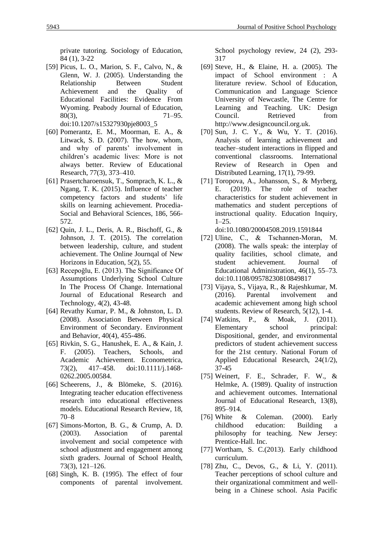private tutoring. Sociology of Education, 84 (1), 3-22

- [59] Picus, L. O., Marion, S. F., Calvo, N., & Glenn, W. J. (2005). Understanding the Relationship Between Student Achievement and the Quality of Educational Facilities: Evidence From Wyoming. Peabody Journal of Education, 80(3), 71–95. doi:10.1207/s15327930pje8003\_5
- [60] Pomerantz, E. M., Moorman, E. A., & Litwack, S. D. (2007). The how, whom, and why of parents' involvement in children's academic lives: More is not always better. Review of Educational Research, 77(3), 373–410.
- [61] Prasertcharoensuk, T., Somprach, K. L., & Ngang, T. K. (2015). Influence of teacher competency factors and students' life skills on learning achievement. Procedia-Social and Behavioral Sciences, 186, 566- 572.
- [62] Quin, J. L., Deris, A. R., Bischoff, G., & Johnson, J. T. (2015). The correlation between leadership, culture, and student achievement. The Online Journqal of New Horizons in Education, 5(2), 55.
- [63] Recepoğlu, E. (2013). The Significance Of Assumptions Underlying School Culture In The Process Of Change. International Journal of Educational Research and Technology, 4(2), 43-48.
- [64] Revathy Kumar, P. M., & Johnston, L. D. (2008). Association Between Physical Environment of Secondary. Environment and Behavior, 40(4), 455-486.
- [65] Rivkin, S. G., Hanushek, E. A., & Kain, J. F. (2005). Teachers, Schools, and Academic Achievement. Econometrica, 73(2), 417–458. doi:10.1111/j.1468- 0262.2005.00584.
- [66] Scheerens, J., & Blömeke, S. (2016). Integrating teacher education effectiveness research into educational effectiveness models. Educational Research Review, 18, 70–8
- [67] Simons-Morton, B. G., & Crump, A. D. (2003). Association of parental involvement and social competence with school adjustment and engagement among sixth graders. Journal of School Health, 73(3), 121–126.
- [68] Singh, K. B. (1995). The effect of four components of parental involvement.

School psychology review, 24 (2), 293- 317

- [69] Steve, H., & Elaine, H. a. (2005). The impact of School environment : A literature review. School of Education, Communication and Language Science University of Newcastle, The Centre for Learning and Teaching. UK: Design Council. Retrieved from http://www.designcouncil.org.uk.
- [70] Sun, J. C. Y., & Wu, Y. T. (2016). Analysis of learning achievement and teacher–student interactions in flipped and conventional classrooms. International Review of Research in Open and Distributed Learning, 17(1), 79-99.
- [71] Toropova, A., Johansson, S., & Myrberg, E. (2019). The role of teacher characteristics for student achievement in mathematics and student perceptions of instructional quality. Education Inquiry,  $1-25.$

doi:10.1080/20004508.2019.1591844

- [72] Uline, C., & Tschannen‐Moran, M. (2008). The walls speak: the interplay of quality facilities, school climate, and student achievement. Journal of Educational Administration, 46(1), 55–73. doi:10.1108/09578230810849817
- [73] Vijaya, S., Vijaya, R., & Rajeshkumar, M. (2016). Parental involvement and academic achievement among high school students. Review of Research, 5(12), 1-4.
- [74] Watkins, P., & Moak, J. (2011). Elementary school principal: Dispositional, gender, and environmental predictors of student achievement success for the 21st century. National Forum of Applied Educational Research, 24(1/2), 37-45
- [75] Weinert, F. E., Schrader, F. W., & Helmke, A. (1989). Quality of instruction and achievement outcomes. International Journal of Educational Research, 13(8), 895–914.
- [76] White & Coleman. (2000). Early childhood education: Building a philosophy for teaching. New Jersey: Prentice-Hall. Inc.
- [77] Wortham, S. C.(2013). Early childhood curriculum.
- [78] Zhu, C., Devos, G., & Li, Y. (2011). Teacher perceptions of school culture and their organizational commitment and wellbeing in a Chinese school. Asia Pacific